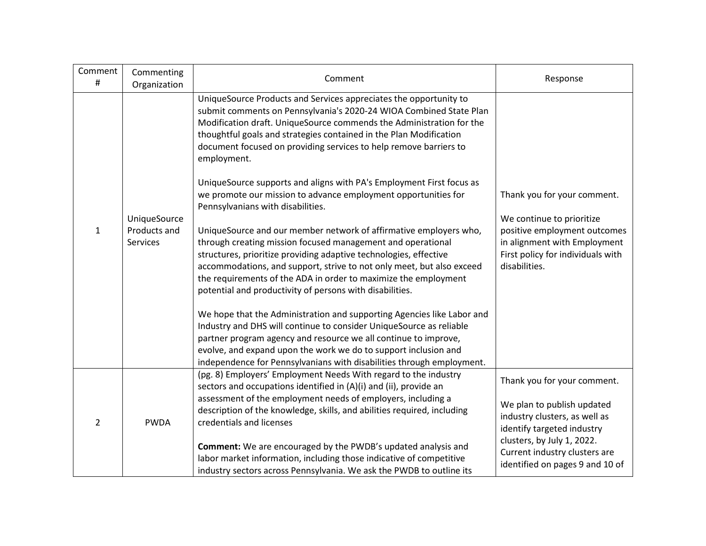| Comment<br>#   | Commenting<br>Organization               | Comment                                                                                                                                                                                                                                                                                                                                                                                                                                                                                                                                                                                                                                                                                                                                                                                                                                                                                                                                                                                                                                                                                                                                                                                                                                                                                                                                   | Response                                                                                                                                                                                                                   |
|----------------|------------------------------------------|-------------------------------------------------------------------------------------------------------------------------------------------------------------------------------------------------------------------------------------------------------------------------------------------------------------------------------------------------------------------------------------------------------------------------------------------------------------------------------------------------------------------------------------------------------------------------------------------------------------------------------------------------------------------------------------------------------------------------------------------------------------------------------------------------------------------------------------------------------------------------------------------------------------------------------------------------------------------------------------------------------------------------------------------------------------------------------------------------------------------------------------------------------------------------------------------------------------------------------------------------------------------------------------------------------------------------------------------|----------------------------------------------------------------------------------------------------------------------------------------------------------------------------------------------------------------------------|
| $\mathbf{1}$   | UniqueSource<br>Products and<br>Services | UniqueSource Products and Services appreciates the opportunity to<br>submit comments on Pennsylvania's 2020-24 WIOA Combined State Plan<br>Modification draft. UniqueSource commends the Administration for the<br>thoughtful goals and strategies contained in the Plan Modification<br>document focused on providing services to help remove barriers to<br>employment.<br>UniqueSource supports and aligns with PA's Employment First focus as<br>we promote our mission to advance employment opportunities for<br>Pennsylvanians with disabilities.<br>UniqueSource and our member network of affirmative employers who,<br>through creating mission focused management and operational<br>structures, prioritize providing adaptive technologies, effective<br>accommodations, and support, strive to not only meet, but also exceed<br>the requirements of the ADA in order to maximize the employment<br>potential and productivity of persons with disabilities.<br>We hope that the Administration and supporting Agencies like Labor and<br>Industry and DHS will continue to consider UniqueSource as reliable<br>partner program agency and resource we all continue to improve,<br>evolve, and expand upon the work we do to support inclusion and<br>independence for Pennsylvanians with disabilities through employment. | Thank you for your comment.<br>We continue to prioritize<br>positive employment outcomes<br>in alignment with Employment<br>First policy for individuals with<br>disabilities.                                             |
| $\overline{2}$ | <b>PWDA</b>                              | (pg. 8) Employers' Employment Needs With regard to the industry<br>sectors and occupations identified in (A)(i) and (ii), provide an<br>assessment of the employment needs of employers, including a<br>description of the knowledge, skills, and abilities required, including<br>credentials and licenses<br><b>Comment:</b> We are encouraged by the PWDB's updated analysis and<br>labor market information, including those indicative of competitive<br>industry sectors across Pennsylvania. We ask the PWDB to outline its                                                                                                                                                                                                                                                                                                                                                                                                                                                                                                                                                                                                                                                                                                                                                                                                        | Thank you for your comment.<br>We plan to publish updated<br>industry clusters, as well as<br>identify targeted industry<br>clusters, by July 1, 2022.<br>Current industry clusters are<br>identified on pages 9 and 10 of |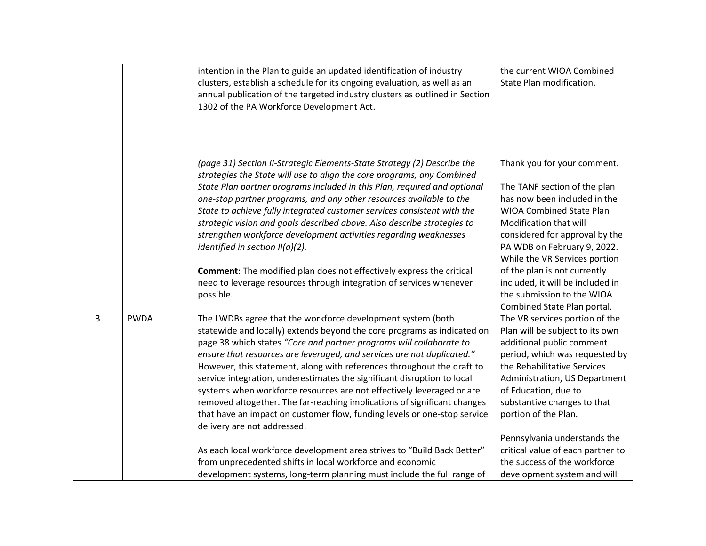|   |             | intention in the Plan to guide an updated identification of industry<br>clusters, establish a schedule for its ongoing evaluation, as well as an<br>annual publication of the targeted industry clusters as outlined in Section<br>1302 of the PA Workforce Development Act.                                                                                                                                                                                                                                                                                                                                                                                                                                                                                                                                                                                                                                                   | the current WIOA Combined<br>State Plan modification.                                                                                                                                                                                                                                                                                                                                                               |
|---|-------------|--------------------------------------------------------------------------------------------------------------------------------------------------------------------------------------------------------------------------------------------------------------------------------------------------------------------------------------------------------------------------------------------------------------------------------------------------------------------------------------------------------------------------------------------------------------------------------------------------------------------------------------------------------------------------------------------------------------------------------------------------------------------------------------------------------------------------------------------------------------------------------------------------------------------------------|---------------------------------------------------------------------------------------------------------------------------------------------------------------------------------------------------------------------------------------------------------------------------------------------------------------------------------------------------------------------------------------------------------------------|
|   |             | (page 31) Section II-Strategic Elements-State Strategy (2) Describe the<br>strategies the State will use to align the core programs, any Combined<br>State Plan partner programs included in this Plan, required and optional<br>one-stop partner programs, and any other resources available to the<br>State to achieve fully integrated customer services consistent with the<br>strategic vision and goals described above. Also describe strategies to<br>strengthen workforce development activities regarding weaknesses<br>identified in section $II(a)(2)$ .<br><b>Comment:</b> The modified plan does not effectively express the critical<br>need to leverage resources through integration of services whenever<br>possible.                                                                                                                                                                                        | Thank you for your comment.<br>The TANF section of the plan<br>has now been included in the<br><b>WIOA Combined State Plan</b><br>Modification that will<br>considered for approval by the<br>PA WDB on February 9, 2022.<br>While the VR Services portion<br>of the plan is not currently<br>included, it will be included in<br>the submission to the WIOA<br>Combined State Plan portal.                         |
| 3 | <b>PWDA</b> | The LWDBs agree that the workforce development system (both<br>statewide and locally) extends beyond the core programs as indicated on<br>page 38 which states "Core and partner programs will collaborate to<br>ensure that resources are leveraged, and services are not duplicated."<br>However, this statement, along with references throughout the draft to<br>service integration, underestimates the significant disruption to local<br>systems when workforce resources are not effectively leveraged or are<br>removed altogether. The far-reaching implications of significant changes<br>that have an impact on customer flow, funding levels or one-stop service<br>delivery are not addressed.<br>As each local workforce development area strives to "Build Back Better"<br>from unprecedented shifts in local workforce and economic<br>development systems, long-term planning must include the full range of | The VR services portion of the<br>Plan will be subject to its own<br>additional public comment<br>period, which was requested by<br>the Rehabilitative Services<br>Administration, US Department<br>of Education, due to<br>substantive changes to that<br>portion of the Plan.<br>Pennsylvania understands the<br>critical value of each partner to<br>the success of the workforce<br>development system and will |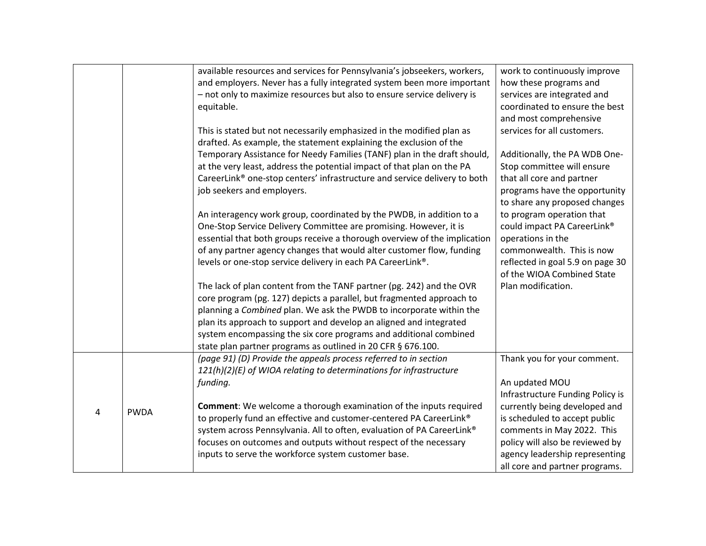|   |             | available resources and services for Pennsylvania's jobseekers, workers,  | work to continuously improve     |
|---|-------------|---------------------------------------------------------------------------|----------------------------------|
|   |             | and employers. Never has a fully integrated system been more important    | how these programs and           |
|   |             | - not only to maximize resources but also to ensure service delivery is   | services are integrated and      |
|   |             | equitable.                                                                | coordinated to ensure the best   |
|   |             |                                                                           | and most comprehensive           |
|   |             | This is stated but not necessarily emphasized in the modified plan as     | services for all customers.      |
|   |             | drafted. As example, the statement explaining the exclusion of the        |                                  |
|   |             | Temporary Assistance for Needy Families (TANF) plan in the draft should,  | Additionally, the PA WDB One-    |
|   |             | at the very least, address the potential impact of that plan on the PA    | Stop committee will ensure       |
|   |             | CareerLink® one-stop centers' infrastructure and service delivery to both | that all core and partner        |
|   |             | job seekers and employers.                                                | programs have the opportunity    |
|   |             |                                                                           | to share any proposed changes    |
|   |             | An interagency work group, coordinated by the PWDB, in addition to a      | to program operation that        |
|   |             | One-Stop Service Delivery Committee are promising. However, it is         | could impact PA CareerLink®      |
|   |             | essential that both groups receive a thorough overview of the implication | operations in the                |
|   |             | of any partner agency changes that would alter customer flow, funding     | commonwealth. This is now        |
|   |             | levels or one-stop service delivery in each PA CareerLink®.               | reflected in goal 5.9 on page 30 |
|   |             |                                                                           | of the WIOA Combined State       |
|   |             | The lack of plan content from the TANF partner (pg. 242) and the OVR      | Plan modification.               |
|   |             | core program (pg. 127) depicts a parallel, but fragmented approach to     |                                  |
|   |             | planning a Combined plan. We ask the PWDB to incorporate within the       |                                  |
|   |             | plan its approach to support and develop an aligned and integrated        |                                  |
|   |             | system encompassing the six core programs and additional combined         |                                  |
|   |             | state plan partner programs as outlined in 20 CFR § 676.100.              |                                  |
|   |             | (page 91) (D) Provide the appeals process referred to in section          | Thank you for your comment.      |
|   |             | 121(h)(2)(E) of WIOA relating to determinations for infrastructure        |                                  |
|   |             | funding.                                                                  | An updated MOU                   |
|   |             |                                                                           | Infrastructure Funding Policy is |
| 4 | <b>PWDA</b> | Comment: We welcome a thorough examination of the inputs required         | currently being developed and    |
|   |             | to properly fund an effective and customer-centered PA CareerLink®        | is scheduled to accept public    |
|   |             | system across Pennsylvania. All to often, evaluation of PA CareerLink®    | comments in May 2022. This       |
|   |             | focuses on outcomes and outputs without respect of the necessary          | policy will also be reviewed by  |
|   |             | inputs to serve the workforce system customer base.                       | agency leadership representing   |
|   |             |                                                                           | all core and partner programs.   |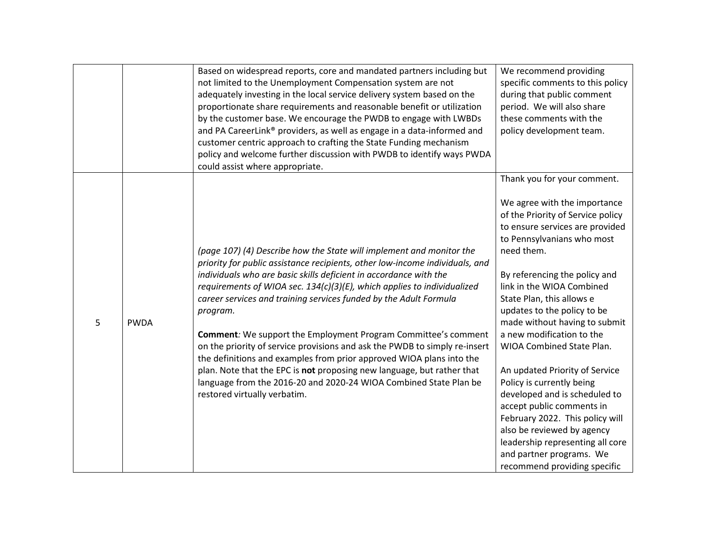|   |             | Based on widespread reports, core and mandated partners including but              | We recommend providing            |
|---|-------------|------------------------------------------------------------------------------------|-----------------------------------|
|   |             | not limited to the Unemployment Compensation system are not                        | specific comments to this policy  |
|   |             | adequately investing in the local service delivery system based on the             | during that public comment        |
|   |             | proportionate share requirements and reasonable benefit or utilization             | period. We will also share        |
|   |             | by the customer base. We encourage the PWDB to engage with LWBDs                   | these comments with the           |
|   |             |                                                                                    |                                   |
|   |             | and PA CareerLink <sup>®</sup> providers, as well as engage in a data-informed and | policy development team.          |
|   |             | customer centric approach to crafting the State Funding mechanism                  |                                   |
|   |             | policy and welcome further discussion with PWDB to identify ways PWDA              |                                   |
|   |             | could assist where appropriate.                                                    |                                   |
|   |             |                                                                                    | Thank you for your comment.       |
|   |             |                                                                                    | We agree with the importance      |
|   |             |                                                                                    | of the Priority of Service policy |
|   |             |                                                                                    | to ensure services are provided   |
|   |             |                                                                                    | to Pennsylvanians who most        |
|   |             | (page 107) (4) Describe how the State will implement and monitor the               | need them.                        |
|   |             | priority for public assistance recipients, other low-income individuals, and       |                                   |
|   |             |                                                                                    |                                   |
|   |             | individuals who are basic skills deficient in accordance with the                  | By referencing the policy and     |
|   |             | requirements of WIOA sec. 134(c)(3)(E), which applies to individualized            | link in the WIOA Combined         |
|   |             | career services and training services funded by the Adult Formula                  | State Plan, this allows e         |
|   |             | program.                                                                           | updates to the policy to be       |
| 5 | <b>PWDA</b> |                                                                                    | made without having to submit     |
|   |             | <b>Comment:</b> We support the Employment Program Committee's comment              | a new modification to the         |
|   |             | on the priority of service provisions and ask the PWDB to simply re-insert         | WIOA Combined State Plan.         |
|   |             | the definitions and examples from prior approved WIOA plans into the               |                                   |
|   |             | plan. Note that the EPC is not proposing new language, but rather that             | An updated Priority of Service    |
|   |             | language from the 2016-20 and 2020-24 WIOA Combined State Plan be                  | Policy is currently being         |
|   |             | restored virtually verbatim.                                                       | developed and is scheduled to     |
|   |             |                                                                                    | accept public comments in         |
|   |             |                                                                                    | February 2022. This policy will   |
|   |             |                                                                                    | also be reviewed by agency        |
|   |             |                                                                                    | leadership representing all core  |
|   |             |                                                                                    | and partner programs. We          |
|   |             |                                                                                    | recommend providing specific      |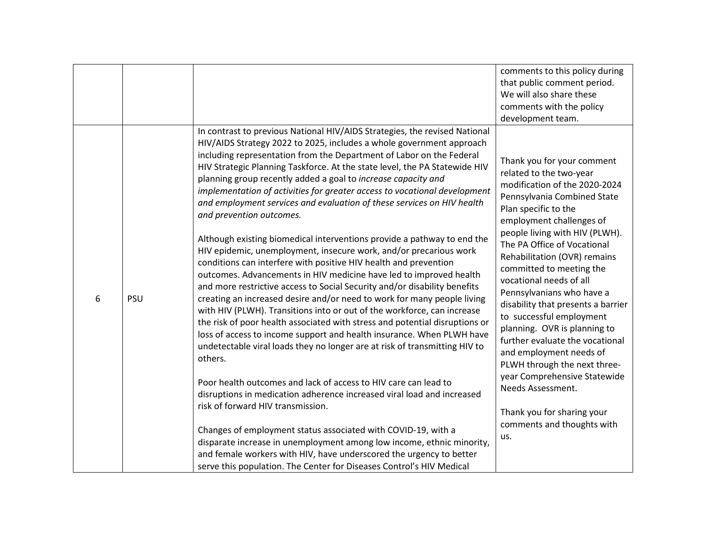|   |            |                                                                                                                                                                                                                                                                                                                                                                                                                                                                                                                                                                                                                                                                                                                                                                                                                                                                                                                                                                                                                                                                                                                                                                                                                                                                                                                                                                                                                                                                                                                                                                                                                                                                                                                                                                                                                       | comments to this policy during<br>that public comment period.<br>We will also share these<br>comments with the policy<br>development team.                                                                                                                                                                                                                                                                                                                                                                                                                                                                                                                                             |
|---|------------|-----------------------------------------------------------------------------------------------------------------------------------------------------------------------------------------------------------------------------------------------------------------------------------------------------------------------------------------------------------------------------------------------------------------------------------------------------------------------------------------------------------------------------------------------------------------------------------------------------------------------------------------------------------------------------------------------------------------------------------------------------------------------------------------------------------------------------------------------------------------------------------------------------------------------------------------------------------------------------------------------------------------------------------------------------------------------------------------------------------------------------------------------------------------------------------------------------------------------------------------------------------------------------------------------------------------------------------------------------------------------------------------------------------------------------------------------------------------------------------------------------------------------------------------------------------------------------------------------------------------------------------------------------------------------------------------------------------------------------------------------------------------------------------------------------------------------|----------------------------------------------------------------------------------------------------------------------------------------------------------------------------------------------------------------------------------------------------------------------------------------------------------------------------------------------------------------------------------------------------------------------------------------------------------------------------------------------------------------------------------------------------------------------------------------------------------------------------------------------------------------------------------------|
| 6 | <b>PSU</b> | In contrast to previous National HIV/AIDS Strategies, the revised National<br>HIV/AIDS Strategy 2022 to 2025, includes a whole government approach<br>including representation from the Department of Labor on the Federal<br>HIV Strategic Planning Taskforce. At the state level, the PA Statewide HIV<br>planning group recently added a goal to increase capacity and<br>implementation of activities for greater access to vocational development<br>and employment services and evaluation of these services on HIV health<br>and prevention outcomes.<br>Although existing biomedical interventions provide a pathway to end the<br>HIV epidemic, unemployment, insecure work, and/or precarious work<br>conditions can interfere with positive HIV health and prevention<br>outcomes. Advancements in HIV medicine have led to improved health<br>and more restrictive access to Social Security and/or disability benefits<br>creating an increased desire and/or need to work for many people living<br>with HIV (PLWH). Transitions into or out of the workforce, can increase<br>the risk of poor health associated with stress and potential disruptions or<br>loss of access to income support and health insurance. When PLWH have<br>undetectable viral loads they no longer are at risk of transmitting HIV to<br>others.<br>Poor health outcomes and lack of access to HIV care can lead to<br>disruptions in medication adherence increased viral load and increased<br>risk of forward HIV transmission.<br>Changes of employment status associated with COVID-19, with a<br>disparate increase in unemployment among low income, ethnic minority,<br>and female workers with HIV, have underscored the urgency to better<br>serve this population. The Center for Diseases Control's HIV Medical | Thank you for your comment<br>related to the two-year<br>modification of the 2020-2024<br>Pennsylvania Combined State<br>Plan specific to the<br>employment challenges of<br>people living with HIV (PLWH).<br>The PA Office of Vocational<br>Rehabilitation (OVR) remains<br>committed to meeting the<br>vocational needs of all<br>Pennsylvanians who have a<br>disability that presents a barrier<br>to successful employment<br>planning. OVR is planning to<br>further evaluate the vocational<br>and employment needs of<br>PLWH through the next three-<br>year Comprehensive Statewide<br>Needs Assessment.<br>Thank you for sharing your<br>comments and thoughts with<br>us. |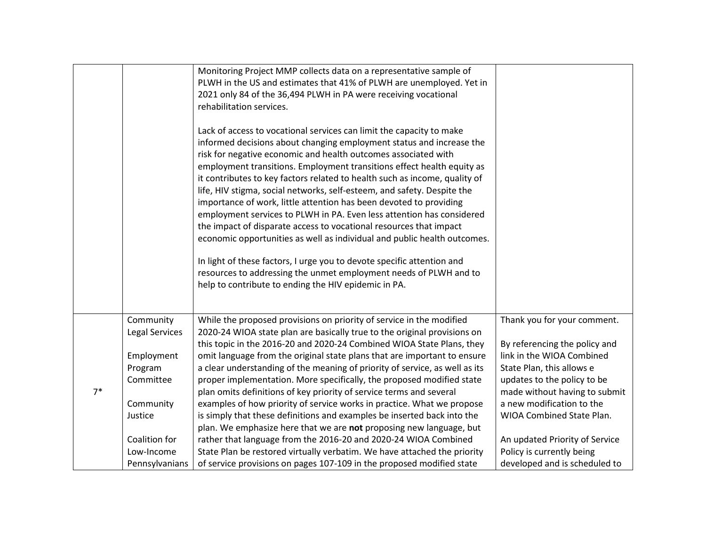|      |                                    | Monitoring Project MMP collects data on a representative sample of<br>PLWH in the US and estimates that 41% of PLWH are unemployed. Yet in<br>2021 only 84 of the 36,494 PLWH in PA were receiving vocational<br>rehabilitation services.<br>Lack of access to vocational services can limit the capacity to make<br>informed decisions about changing employment status and increase the<br>risk for negative economic and health outcomes associated with<br>employment transitions. Employment transitions effect health equity as<br>it contributes to key factors related to health such as income, quality of<br>life, HIV stigma, social networks, self-esteem, and safety. Despite the<br>importance of work, little attention has been devoted to providing<br>employment services to PLWH in PA. Even less attention has considered<br>the impact of disparate access to vocational resources that impact<br>economic opportunities as well as individual and public health outcomes.<br>In light of these factors, I urge you to devote specific attention and<br>resources to addressing the unmet employment needs of PLWH and to<br>help to contribute to ending the HIV epidemic in PA. |                                                              |
|------|------------------------------------|--------------------------------------------------------------------------------------------------------------------------------------------------------------------------------------------------------------------------------------------------------------------------------------------------------------------------------------------------------------------------------------------------------------------------------------------------------------------------------------------------------------------------------------------------------------------------------------------------------------------------------------------------------------------------------------------------------------------------------------------------------------------------------------------------------------------------------------------------------------------------------------------------------------------------------------------------------------------------------------------------------------------------------------------------------------------------------------------------------------------------------------------------------------------------------------------------------|--------------------------------------------------------------|
|      | Community<br><b>Legal Services</b> | While the proposed provisions on priority of service in the modified<br>2020-24 WIOA state plan are basically true to the original provisions on<br>this topic in the 2016-20 and 2020-24 Combined WIOA State Plans, they                                                                                                                                                                                                                                                                                                                                                                                                                                                                                                                                                                                                                                                                                                                                                                                                                                                                                                                                                                              | Thank you for your comment.<br>By referencing the policy and |
|      | Employment                         | omit language from the original state plans that are important to ensure                                                                                                                                                                                                                                                                                                                                                                                                                                                                                                                                                                                                                                                                                                                                                                                                                                                                                                                                                                                                                                                                                                                               | link in the WIOA Combined                                    |
|      | Program                            | a clear understanding of the meaning of priority of service, as well as its                                                                                                                                                                                                                                                                                                                                                                                                                                                                                                                                                                                                                                                                                                                                                                                                                                                                                                                                                                                                                                                                                                                            | State Plan, this allows e                                    |
|      | Committee                          | proper implementation. More specifically, the proposed modified state                                                                                                                                                                                                                                                                                                                                                                                                                                                                                                                                                                                                                                                                                                                                                                                                                                                                                                                                                                                                                                                                                                                                  | updates to the policy to be                                  |
| $7*$ |                                    | plan omits definitions of key priority of service terms and several                                                                                                                                                                                                                                                                                                                                                                                                                                                                                                                                                                                                                                                                                                                                                                                                                                                                                                                                                                                                                                                                                                                                    | made without having to submit                                |
|      | Community                          | examples of how priority of service works in practice. What we propose                                                                                                                                                                                                                                                                                                                                                                                                                                                                                                                                                                                                                                                                                                                                                                                                                                                                                                                                                                                                                                                                                                                                 | a new modification to the                                    |
|      | Justice                            | is simply that these definitions and examples be inserted back into the                                                                                                                                                                                                                                                                                                                                                                                                                                                                                                                                                                                                                                                                                                                                                                                                                                                                                                                                                                                                                                                                                                                                | WIOA Combined State Plan.                                    |
|      |                                    | plan. We emphasize here that we are not proposing new language, but                                                                                                                                                                                                                                                                                                                                                                                                                                                                                                                                                                                                                                                                                                                                                                                                                                                                                                                                                                                                                                                                                                                                    |                                                              |
|      | Coalition for                      | rather that language from the 2016-20 and 2020-24 WIOA Combined                                                                                                                                                                                                                                                                                                                                                                                                                                                                                                                                                                                                                                                                                                                                                                                                                                                                                                                                                                                                                                                                                                                                        | An updated Priority of Service                               |
|      | Low-Income                         | State Plan be restored virtually verbatim. We have attached the priority                                                                                                                                                                                                                                                                                                                                                                                                                                                                                                                                                                                                                                                                                                                                                                                                                                                                                                                                                                                                                                                                                                                               | Policy is currently being                                    |
|      | Pennsylvanians                     | of service provisions on pages 107-109 in the proposed modified state                                                                                                                                                                                                                                                                                                                                                                                                                                                                                                                                                                                                                                                                                                                                                                                                                                                                                                                                                                                                                                                                                                                                  | developed and is scheduled to                                |